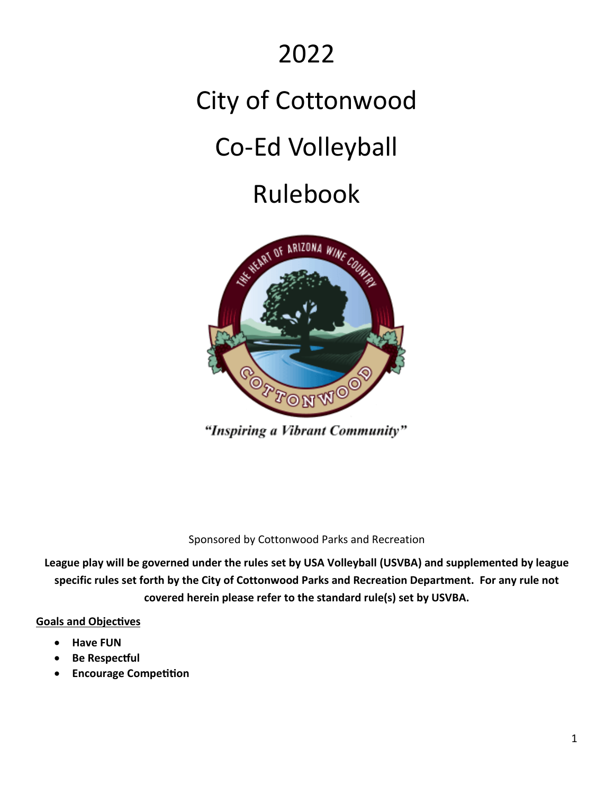### 2022

# City of Cottonwood

## Co-Ed Volleyball

### Rulebook



"Inspiring a Vibrant Community"

Sponsored by Cottonwood Parks and Recreation

**League play will be governed under the rules set by USA Volleyball (USVBA) and supplemented by league specific rules set forth by the City of Cottonwood Parks and Recreation Department. For any rule not covered herein please refer to the standard rule(s) set by USVBA.**

#### **Goals and Objectives**

- **Have FUN**
- **Be Respec�ul**
- **Encourage Competition**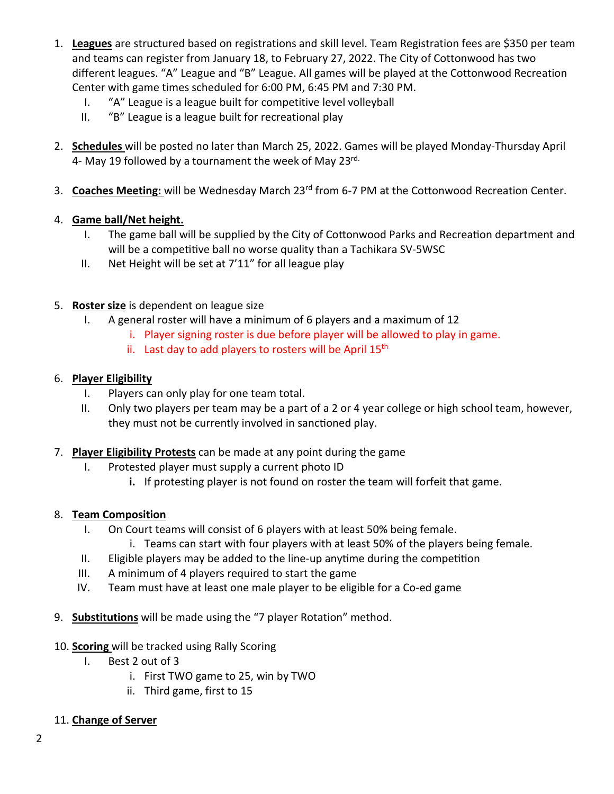- 1. **Leagues** are structured based on registrations and skill level. Team Registration fees are \$350 per team and teams can register from January 18, to February 27, 2022. The City of Cottonwood has two different leagues. "A" League and "B" League. All games will be played at the Cottonwood Recreation Center with game times scheduled for 6:00 PM, 6:45 PM and 7:30 PM.
	- I. "A" League is a league built for competitive level volleyball
	- II. "B" League is a league built for recreational play
- 2. **Schedules** will be posted no later than March 25, 2022. Games will be played Monday-Thursday April 4- May 19 followed by a tournament the week of May 23rd.
- 3. **Coaches Meeting:** will be Wednesday March 23rd from 6-7 PM at the Cottonwood Recreation Center.

#### 4. **Game ball/Net height.**

- I. The game ball will be supplied by the City of Cottonwood Parks and Recreation department and will be a competitive ball no worse quality than a Tachikara SV-5WSC
- II. Net Height will be set at 7'11" for all league play
- 5. **Roster size** is dependent on league size
	- I. A general roster will have a minimum of 6 players and a maximum of 12
		- i. Player signing roster is due before player will be allowed to play in game.
		- ii. Last day to add players to rosters will be April  $15<sup>th</sup>$

#### 6. **Player Eligibility**

- I. Players can only play for one team total.
- II. Only two players per team may be a part of a 2 or 4 year college or high school team, however, they must not be currently involved in sanctioned play.

#### 7. **Player Eligibility Protests** can be made at any point during the game

- I. Protested player must supply a current photo ID
	- **i.** If protesting player is not found on roster the team will forfeit that game.

#### 8. **Team Composition**

- I. On Court teams will consist of 6 players with at least 50% being female.
	- i. Teams can start with four players with at least 50% of the players being female.
- II. Eligible players may be added to the line-up anytime during the competition
- III. A minimum of 4 players required to start the game
- IV. Team must have at least one male player to be eligible for a Co-ed game
- 9. **Substitutions** will be made using the "7 player Rotation" method.
- 10. **Scoring** will be tracked using Rally Scoring
	- I. Best 2 out of 3
		- i. First TWO game to 25, win by TWO
		- ii. Third game, first to 15

#### 11. **Change of Server**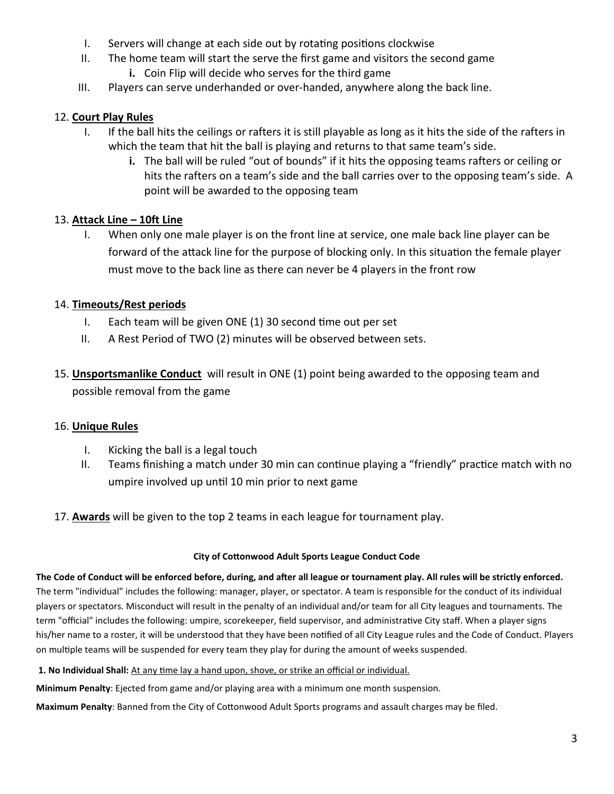- I. Servers will change at each side out by rotating positions clockwise
- II. The home team will start the serve the first game and visitors the second game
	- **i.** Coin Flip will decide who serves for the third game
- III. Players can serve underhanded or over-handed, anywhere along the back line.

#### 12. **Court Play Rules**

- I. If the ball hits the ceilings or rafters it is still playable as long as it hits the side of the rafters in which the team that hit the ball is playing and returns to that same team's side.
	- **i.** The ball will be ruled "out of bounds" if it hits the opposing teams rafters or ceiling or hits the rafters on a team's side and the ball carries over to the opposing team's side. A point will be awarded to the opposing team

#### 13. **Attack Line – 10ft Line**

I. When only one male player is on the front line at service, one male back line player can be forward of the attack line for the purpose of blocking only. In this situation the female player must move to the back line as there can never be 4 players in the front row

#### 14. **Timeouts/Rest periods**

- I. Each team will be given ONE  $(1)$  30 second time out per set
- II. A Rest Period of TWO (2) minutes will be observed between sets.
- 15. **Unsportsmanlike Conduct** will result in ONE (1) point being awarded to the opposing team and possible removal from the game

#### 16. **Unique Rules**

- I. Kicking the ball is a legal touch
- II. Teams finishing a match under 30 min can continue playing a "friendly" practice match with no umpire involved up until 10 min prior to next game
- 17. **Awards** will be given to the top 2 teams in each league for tournament play.

#### **City of Cotonwood Adult Sports League Conduct Code**

**The Code of Conduct will be enforced before, during, and a�er all league or tournament play. All rules will be strictly enforced.**  The term "individual" includes the following: manager, player, or spectator. A team is responsible for the conduct of its individual players or spectators. Misconduct will result in the penalty of an individual and/or team for all City leagues and tournaments. The term "official" includes the following: umpire, scorekeeper, field supervisor, and administrative City staff. When a player signs his/her name to a roster, it will be understood that they have been notified of all City League rules and the Code of Conduct. Players on multiple teams will be suspended for every team they play for during the amount of weeks suspended.

**1. No Individual Shall:** At any time lay a hand upon, shove, or strike an official or individual.

**Minimum Penalty**: Ejected from game and/or playing area with a minimum one month suspension.

**Maximum Penalty**: Banned from the City of Cotonwood Adult Sports programs and assault charges may be filed.